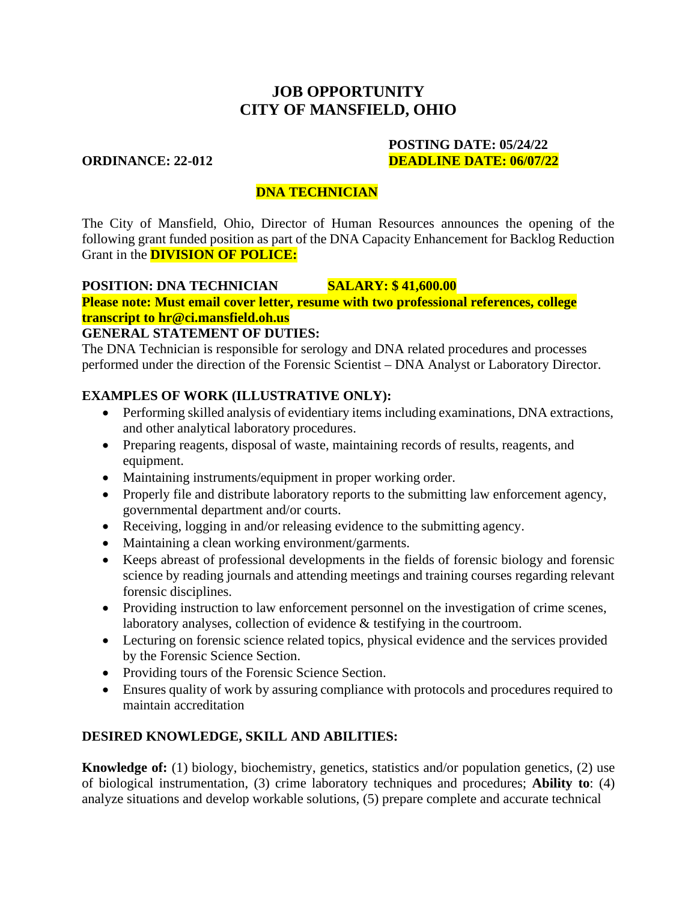# **JOB OPPORTUNITY CITY OF MANSFIELD, OHIO**

#### **POSTING DATE: 05/24/22 ORDINANCE: 22-012 DEADLINE DATE: 06/07/22**

## **DNA TECHNICIAN**

The City of Mansfield, Ohio, Director of Human Resources announces the opening of the following grant funded position as part of the DNA Capacity Enhancement for Backlog Reduction Grant in the **DIVISION OF POLICE:**

### **POSITION: DNA TECHNICIAN SALARY: \$ 41,600.00**

**Please note: Must email cover letter, resume with two professional references, college [transcript to hr@ci.mansfield.oh.us](mailto:transcripttohr@ci.mansfield.oh.us)**

#### **GENERAL STATEMENT OF DUTIES:**

The DNA Technician is responsible for serology and DNA related procedures and processes performed under the direction of the Forensic Scientist – DNA Analyst or Laboratory Director.

## **EXAMPLES OF WORK (ILLUSTRATIVE ONLY):**

- Performing skilled analysis of evidentiary items including examinations, DNA extractions, and other analytical laboratory procedures.
- Preparing reagents, disposal of waste, maintaining records of results, reagents, and equipment.
- Maintaining instruments/equipment in proper working order.
- Properly file and distribute laboratory reports to the submitting law enforcement agency, governmental department and/or courts.
- Receiving, logging in and/or releasing evidence to the submitting agency.
- Maintaining a clean working environment/garments.
- Keeps abreast of professional developments in the fields of forensic biology and forensic science by reading journals and attending meetings and training courses regarding relevant forensic disciplines.
- Providing instruction to law enforcement personnel on the investigation of crime scenes, laboratory analyses, collection of evidence & testifying in the courtroom.
- Lecturing on forensic science related topics, physical evidence and the services provided by the Forensic Science Section.
- Providing tours of the Forensic Science Section.
- Ensures quality of work by assuring compliance with protocols and procedures required to maintain accreditation

## **DESIRED KNOWLEDGE, SKILL AND ABILITIES:**

**Knowledge of:** (1) biology, biochemistry, genetics, statistics and/or population genetics, (2) use of biological instrumentation, (3) crime laboratory techniques and procedures; **Ability to**: (4) analyze situations and develop workable solutions, (5) prepare complete and accurate technical